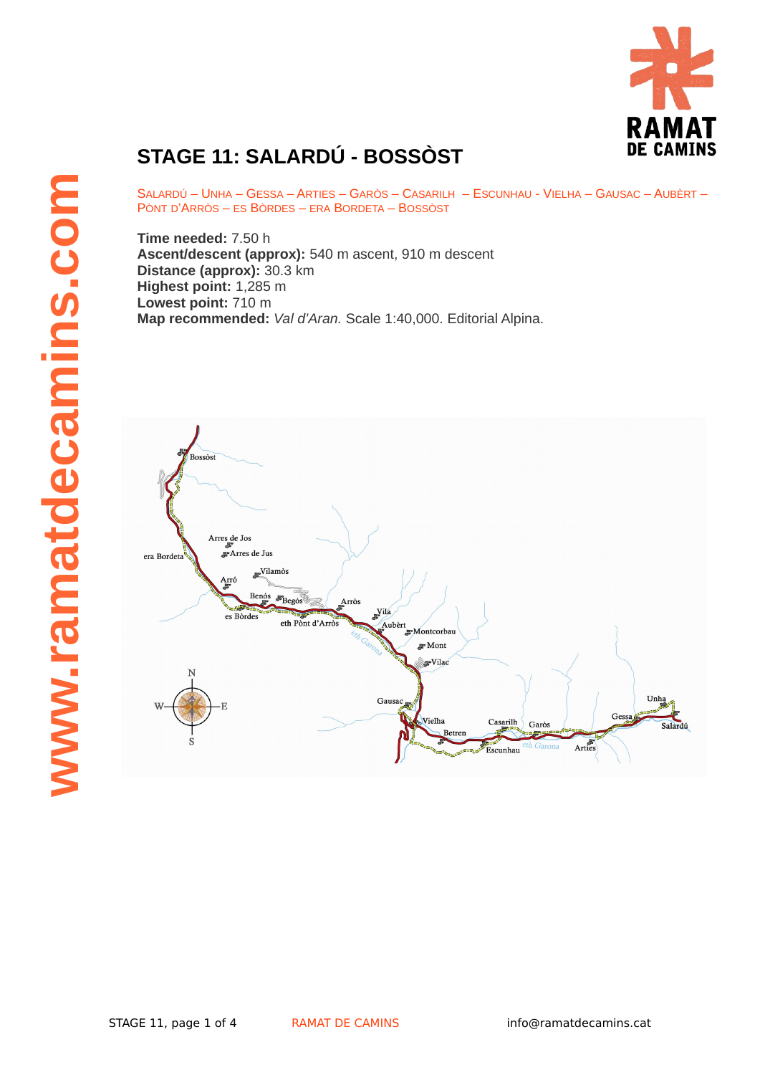

## **STAGE 11: SALARDÚ - BOSSÒST**

SALARDÚ – UNHA – GESSA – ARTIES – GARÒS – CASARILH – ESCUNHAU - VIELHA – GAUSAC – AUBÈRT – PÒNT D'ARRÒS – ES BÒRDES – ERA BORDETA – BOSSÒST

**Time needed:** 7.50 h **Ascent/descent (approx):** 540 m ascent, 910 m descent **Distance (approx):** 30.3 km **Highest point:** 1,285 m **Lowest point:** 710 m **Map recommended:** *Val d'Aran.* Scale 1:40,000. Editorial Alpina.

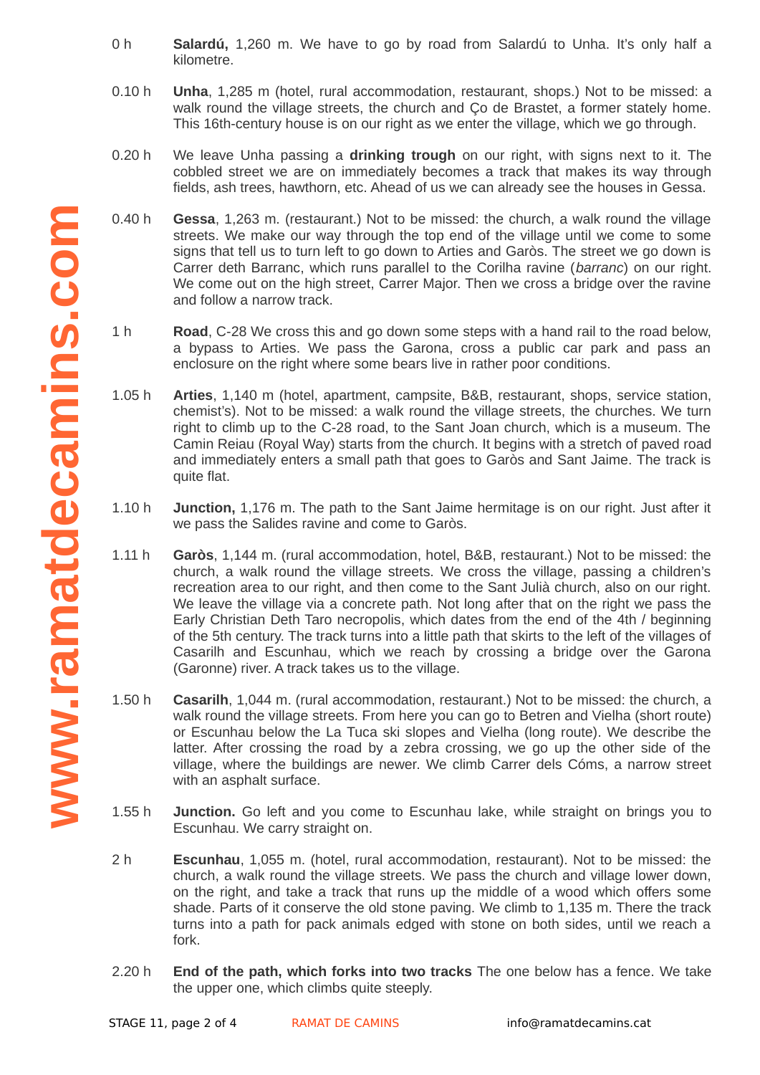- 0 h **Salardú,** 1,260 m. We have to go by road from Salardú to Unha. It's only half a kilometre.
- 0.10 h **Unha**, 1,285 m (hotel, rural accommodation, restaurant, shops.) Not to be missed: a walk round the village streets, the church and Ço de Brastet, a former stately home. This 16th-century house is on our right as we enter the village, which we go through.
- 0.20 h We leave Unha passing a **drinking trough** on our right, with signs next to it. The cobbled street we are on immediately becomes a track that makes its way through fields, ash trees, hawthorn, etc. Ahead of us we can already see the houses in Gessa.
- 0.40 h **Gessa**, 1,263 m. (restaurant.) Not to be missed: the church, a walk round the village streets. We make our way through the top end of the village until we come to some signs that tell us to turn left to go down to Arties and Garòs. The street we go down is Carrer deth Barranc, which runs parallel to the Corilha ravine (*barranc*) on our right. We come out on the high street, Carrer Major. Then we cross a bridge over the ravine and follow a narrow track.
- 1 h **Road**, C-28 We cross this and go down some steps with a hand rail to the road below, a bypass to Arties. We pass the Garona, cross a public car park and pass an enclosure on the right where some bears live in rather poor conditions.
- 1.05 h **Arties**, 1,140 m (hotel, apartment, campsite, B&B, restaurant, shops, service station, chemist's). Not to be missed: a walk round the village streets, the churches. We turn right to climb up to the C-28 road, to the Sant Joan church, which is a museum. The Camin Reiau (Royal Way) starts from the church. It begins with a stretch of paved road and immediately enters a small path that goes to Garòs and Sant Jaime. The track is quite flat.
- 1.10 h **Junction,** 1,176 m. The path to the Sant Jaime hermitage is on our right. Just after it we pass the Salides ravine and come to Garòs.
- $1.11h$ 1.11 h **Garòs**, 1,144 m. (rural accommodation, hotel, B&B, restaurant.) Not to be missed: the church, a walk round the village streets. We cross the village, passing a children's recreation area to our right, and then come to the Sant Julià church, also on our right. We leave the village via a concrete path. Not long after that on the right we pass the Early Christian Deth Taro necropolis, which dates from the end of the 4th / beginning of the 5th century. The track turns into a little path that skirts to the left of the villages of Casarilh and Escunhau, which we reach by crossing a bridge over the Garona (Garonne) river. A track takes us to the village.
- 1.50 h **Casarilh**, 1,044 m. (rural accommodation, restaurant.) Not to be missed: the church, a walk round the village streets. From here you can go to Betren and Vielha (short route) or Escunhau below the La Tuca ski slopes and Vielha (long route). We describe the latter. After crossing the road by a zebra crossing, we go up the other side of the village, where the buildings are newer. We climb Carrer dels Cóms, a narrow street with an asphalt surface.
- 1.55 h **Junction.** Go left and you come to Escunhau lake, while straight on brings you to Escunhau. We carry straight on.
- 2 h **Escunhau**, 1,055 m. (hotel, rural accommodation, restaurant). Not to be missed: the church, a walk round the village streets. We pass the church and village lower down, on the right, and take a track that runs up the middle of a wood which offers some shade. Parts of it conserve the old stone paving. We climb to 1,135 m. There the track turns into a path for pack animals edged with stone on both sides, until we reach a fork.
- 2.20 h **End of the path, which forks into two tracks** The one below has a fence. We take the upper one, which climbs quite steeply.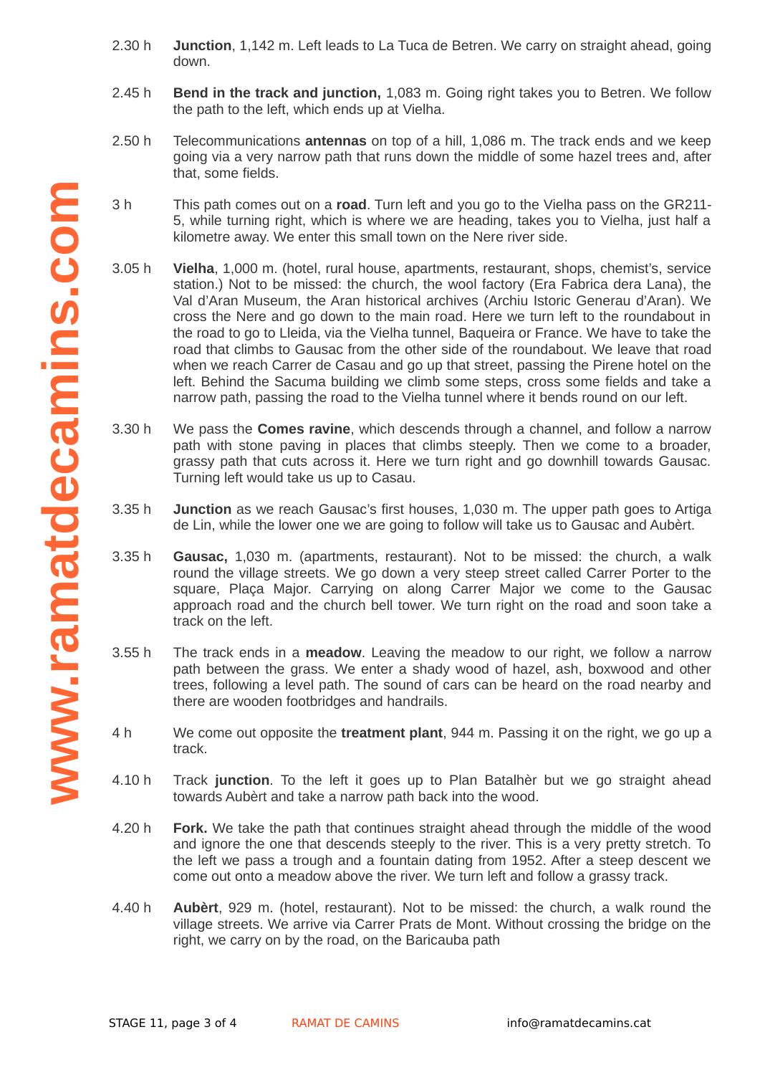- 2.30 h **Junction**, 1,142 m. Left leads to La Tuca de Betren. We carry on straight ahead, going down.
- 2.45 h **Bend in the track and junction,** 1,083 m. Going right takes you to Betren. We follow the path to the left, which ends up at Vielha.
- 2.50 h Telecommunications **antennas** on top of a hill, 1,086 m. The track ends and we keep going via a very narrow path that runs down the middle of some hazel trees and, after that, some fields.
- 3 h This path comes out on a **road**. Turn left and you go to the Vielha pass on the GR211- 5, while turning right, which is where we are heading, takes you to Vielha, just half a kilometre away. We enter this small town on the Nere river side.
- 3.05 h **Vielha**, 1,000 m. (hotel, rural house, apartments, restaurant, shops, chemist's, service station.) Not to be missed: the church, the wool factory (Era Fabrica dera Lana), the Val d'Aran Museum, the Aran historical archives (Archiu Istoric Generau d'Aran). We cross the Nere and go down to the main road. Here we turn left to the roundabout in the road to go to Lleida, via the Vielha tunnel, Baqueira or France. We have to take the road that climbs to Gausac from the other side of the roundabout. We leave that road when we reach Carrer de Casau and go up that street, passing the Pirene hotel on the left. Behind the Sacuma building we climb some steps, cross some fields and take a narrow path, passing the road to the Vielha tunnel where it bends round on our left.
- 3.30 h We pass the **Comes ravine**, which descends through a channel, and follow a narrow path with stone paving in places that climbs steeply. Then we come to a broader, grassy path that cuts across it. Here we turn right and go downhill towards Gausac. Turning left would take us up to Casau.
- 3.35 h **Junction** as we reach Gausac's first houses, 1,030 m. The upper path goes to Artiga de Lin, while the lower one we are going to follow will take us to Gausac and Aubèrt.
- 3.35 h **Gausac,** 1,030 m. (apartments, restaurant). Not to be missed: the church, a walk round the village streets. We go down a very steep street called Carrer Porter to the square, Plaça Major. Carrying on along Carrer Major we come to the Gausac approach road and the church bell tower. We turn right on the road and soon take a track on the left.
- 3.55 h The track ends in a **meadow**. Leaving the meadow to our right, we follow a narrow path between the grass. We enter a shady wood of hazel, ash, boxwood and other trees, following a level path. The sound of cars can be heard on the road nearby and there are wooden footbridges and handrails.
- 4 h We come out opposite the **treatment plant**, 944 m. Passing it on the right, we go up a track.
- 4.10 h Track **junction**. To the left it goes up to Plan Batalhèr but we go straight ahead towards Aubèrt and take a narrow path back into the wood.
- 4.20 h **Fork.** We take the path that continues straight ahead through the middle of the wood and ignore the one that descends steeply to the river. This is a very pretty stretch. To the left we pass a trough and a fountain dating from 1952. After a steep descent we come out onto a meadow above the river. We turn left and follow a grassy track.
- 4.40 h **Aubèrt**, 929 m. (hotel, restaurant). Not to be missed: the church, a walk round the village streets. We arrive via Carrer Prats de Mont. Without crossing the bridge on the right, we carry on by the road, on the Baricauba path